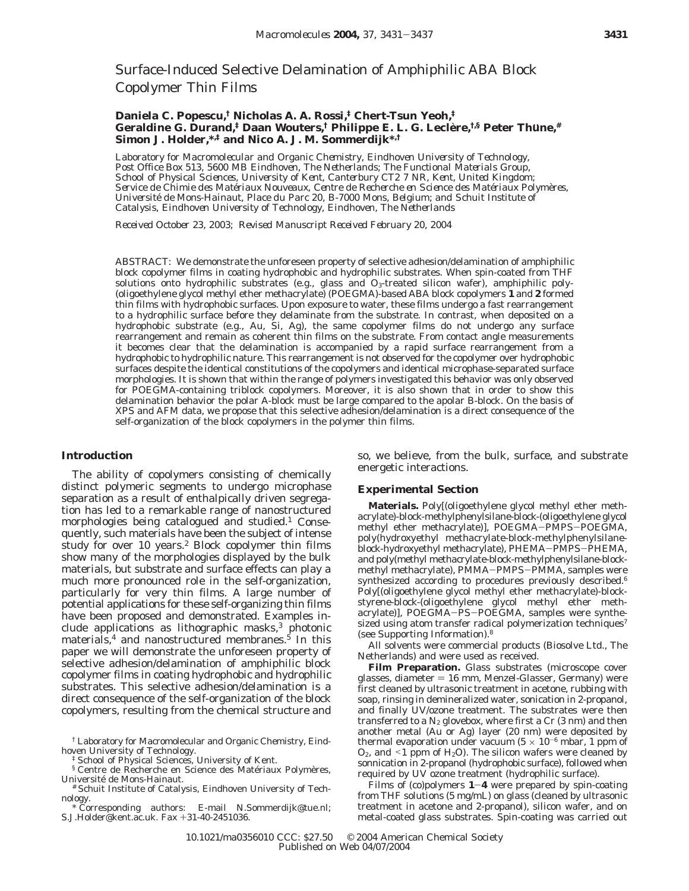Surface-Induced Selective Delamination of Amphiphilic ABA Block Copolymer Thin Films

# **Daniela C. Popescu,† Nicholas A. A. Rossi,‡ Chert-Tsun Yeoh,‡ Geraldine G. Durand,<sup>‡</sup> Daan Wouters,<sup>†</sup> Philippe E. L. G. Leclère,<sup>†,§</sup> Peter Thüne,<sup>#</sup> Simon J. Holder,\*,‡ and Nico A. J. M. Sommerdijk\*,†**

*Laboratory for Macromolecular and Organic Chemistry, Eindhoven University of Technology, Post Office Box 513, 5600 MB Eindhoven, The Netherlands; The Functional Materials Group, School of Physical Sciences, University of Kent, Canterbury CT2 7 NR, Kent, United Kingdom; Service de Chimie des Mate*´*riaux Nouveaux, Centre de Recherche en Science des Mate*´*riaux Polyme*`*res, Universite*´ *de Mons-Hainaut, Place du Parc 20, B-7000 Mons, Belgium; and Schuit Institute of Catalysis, Eindhoven University of Technology, Eindhoven, The Netherlands*

*Received October 23, 2003; Revised Manuscript Received February 20, 2004*

ABSTRACT: We demonstrate the unforeseen property of selective adhesion/delamination of amphiphilic block copolymer films in coating hydrophobic and hydrophilic substrates. When spin-coated from THF solutions onto hydrophilic substrates (e.g., glass and  $O_3$ -treated silicon wafer), amphiphilic poly-(oligoethylene glycol methyl ether methacrylate) (POEGMA)-based ABA block copolymers **1** and **2** formed thin films with hydrophobic surfaces. Upon exposure to water, these films undergo a fast rearrangement to a hydrophilic surface before they delaminate from the substrate. In contrast, when deposited on a hydrophobic substrate (e.g., Au, Si, Ag), the same copolymer films do not undergo any surface rearrangement and remain as coherent thin films on the substrate. From contact angle measurements it becomes clear that the delamination is accompanied by a rapid surface rearrangement from a hydrophobic to hydrophilic nature. This rearrangement is not observed for the copolymer over hydrophobic surfaces despite the identical constitutions of the copolymers and identical microphase-separated surface morphologies. It is shown that within the range of polymers investigated this behavior was only observed for POEGMA-containing triblock copolymers. Moreover, it is also shown that in order to show this delamination behavior the polar A-block must be large compared to the apolar B-block. On the basis of XPS and AFM data, we propose that this selective adhesion/delamination is a direct consequence of the self-organization of the block copolymers in the polymer thin films.

### **Introduction**

The ability of copolymers consisting of chemically distinct polymeric segments to undergo microphase separation as a result of enthalpically driven segregation has led to a remarkable range of nanostructured morphologies being catalogued and studied.<sup>1</sup> Consequently, such materials have been the subject of intense study for over 10 years.<sup>2</sup> Block copolymer thin films show many of the morphologies displayed by the bulk materials, but substrate and surface effects can play a much more pronounced role in the self-organization, particularly for very thin films. A large number of potential applications for these self-organizing thin films have been proposed and demonstrated. Examples include applications as lithographic masks,<sup>3</sup> photonic materials, $4$  and nanostructured membranes.<sup>5</sup> In this paper we will demonstrate the unforeseen property of selective adhesion/delamination of amphiphilic block copolymer films in coating hydrophobic and hydrophilic substrates. This selective adhesion/delamination is a direct consequence of the self-organization of the block copolymers, resulting from the chemical structure and

 $^\dagger$  Laboratory for Macromolecular and Organic Chemistry, Eindhoven University of Technology.

School of Physical Sciences, University of Kent.

§ Centre de Recherche en Science des Matériaux Polymères, Université de Mons-Hainaut.<br><sup>#</sup> Schuit Institute of Catalysis, Eindhoven University of Tech-

nology.

\* Corresponding authors: E-mail N.Sommerdijk@tue.nl; S.J.Holder@kent.ac.uk. Fax +31-40-2451036.

so, we believe, from the bulk, surface, and substrate energetic interactions.

#### **Experimental Section**

**Materials.** Poly[(oligoethylene glycol methyl ether methacrylate)-*block*-methylphenylsilane-*block*-(oligoethylene glycol methyl ether methacrylate)], POEGMA-PMPS-POEGMA, poly(hydroxyethyl methacrylate-*block*-methylphenylsilane*block*-hydroxyethyl methacrylate), PHEMA-PMPS-PHEMA, and poly(methyl methacrylate-*block*-methylphenylsilane-*block*methyl methacrylate), PMMA-PMPS-PMMA, samples were synthesized according to procedures previously described.6 Poly[(oligoethylene glycol methyl ether methacrylate)-*block*styrene-*block*-(oligoethylene glycol methyl ether methacrylate)], POEGMA-PS-POEGMA, samples were synthesized using atom transfer radical polymerization techniques<sup>7</sup> (see Supporting Information).8

All solvents were commercial products (Biosolve Ltd., The Netherlands) and were used as received.

**Film Preparation.** Glass substrates (microscope cover glasses, diameter  $= 16$  mm, Menzel-Glasser, Germany) were first cleaned by ultrasonic treatment in acetone, rubbing with soap, rinsing in demineralized water, sonication in 2-propanol, and finally UV/ozone treatment. The substrates were then transferred to a  $N_2$  glovebox, where first a Cr  $(3 \text{ nm})$  and then another metal (Au or Ag) layer (20 nm) were deposited by thermal evaporation under vacuum  $(5 \times 10^{-6}$  mbar, 1 ppm of  $O_2$ , and <1 ppm of  $H_2O$ ). The silicon wafers were cleaned by sonnication in 2-propanol (hydrophobic surface), followed when required by UV ozone treatment (hydrophilic surface).

Films of (co)polymers **<sup>1</sup>**-**<sup>4</sup>** were prepared by spin-coating from THF solutions (5 mg/mL) on glass (cleaned by ultrasonic treatment in acetone and 2-propanol), silicon wafer, and on metal-coated glass substrates. Spin-coating was carried out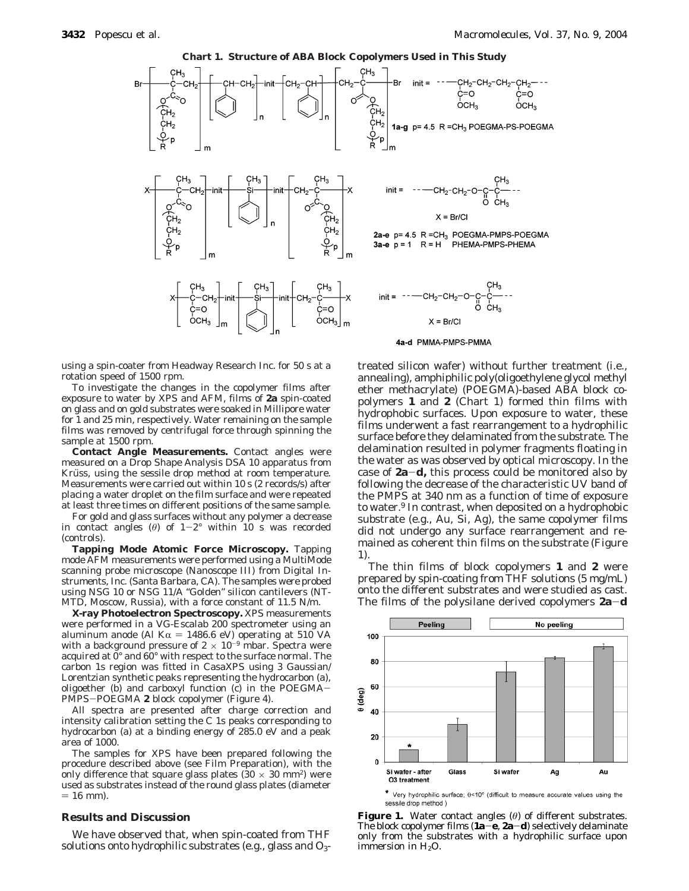

using a spin-coater from Headway Research Inc. for 50 s at a rotation speed of 1500 rpm.

To investigate the changes in the copolymer films after exposure to water by XPS and AFM, films of **2a** spin-coated on glass and on gold substrates were soaked in Millipore water for 1 and 25 min, respectively. Water remaining on the sample films was removed by centrifugal force through spinning the sample at 1500 rpm.

**Contact Angle Measurements.** Contact angles were measured on a Drop Shape Analysis DSA 10 apparatus from Krüss, using the sessile drop method at room temperature. Measurements were carried out within 10 s (2 records/s) after placing a water droplet on the film surface and were repeated at least three times on different positions of the same sample.

For gold and glass surfaces without any polymer a decrease in contact angles ( $\theta$ ) of  $1-2^{\circ}$  within 10 s was recorded (controls).

**Tapping Mode Atomic Force Microscopy.** Tapping mode AFM measurements were performed using a MultiMode scanning probe microscope (Nanoscope III) from Digital Instruments, Inc. (Santa Barbara, CA). The samples were probed using NSG 10 or NSG 11/A "Golden" silicon cantilevers (NT-MTD, Moscow, Russia), with a force constant of 11.5 N/m.

**X-ray Photoelectron Spectroscopy.** XPS measurements were performed in a VG-Escalab 200 spectrometer using an aluminum anode (Al K $\alpha = 1486.6$  eV) operating at 510 VA with a background pressure of  $2 \times 10^{-9}$  mbar. Spectra were acquired at 0° and 60° with respect to the surface normal. The carbon 1s region was fitted in CasaXPS using 3 Gaussian/ Lorentzian synthetic peaks representing the hydrocarbon (a), oligoether (b) and carboxyl function (c) in the POEGMA-PMPS-POEGMA **<sup>2</sup>** block copolymer (Figure 4).

All spectra are presented after charge correction and intensity calibration setting the C 1s peaks corresponding to hydrocarbon (a) at a binding energy of 285.0 eV and a peak area of 1000.

The samples for XPS have been prepared following the procedure described above (see Film Preparation), with the only difference that square glass plates ( $30 \times 30$  mm<sup>2</sup>) were used as substrates instead of the round glass plates (diameter  $= 16$  mm).

## **Results and Discussion**

We have observed that, when spin-coated from THF solutions onto hydrophilic substrates (e.g., glass and  $O<sub>3</sub>$ -

treated silicon wafer) without further treatment (i.e., annealing), amphiphilic poly(oligoethylene glycol methyl ether methacrylate) (POEGMA)-based ABA block copolymers **1** and **2** (Chart 1) formed thin films with hydrophobic surfaces. Upon exposure to water, these films underwent a fast rearrangement to a hydrophilic surface before they delaminated from the substrate. The delamination resulted in polymer fragments floating in the water as was observed by optical microscopy. In the case of **2a**-**d,** this process could be monitored also by following the decrease of the characteristic UV band of the PMPS at 340 nm as a function of time of exposure to water.<sup>9</sup> In contrast, when deposited on a hydrophobic substrate (e.g., Au, Si, Ag), the same copolymer films did not undergo any surface rearrangement and remained as coherent thin films on the substrate (Figure 1).

The thin films of block copolymers **1** and **2** were prepared by spin-coating from THF solutions (5 mg/mL) onto the different substrates and were studied as cast. The films of the polysilane derived copolymers **2a**-**<sup>d</sup>**





**Figure 1.** Water contact angles (*θ*) of different substrates. The block copolymer films (**1a**-**e**, **2a**-**d**) selectively delaminate only from the substrates with a hydrophilic surface upon immersion in  $H<sub>2</sub>O$ .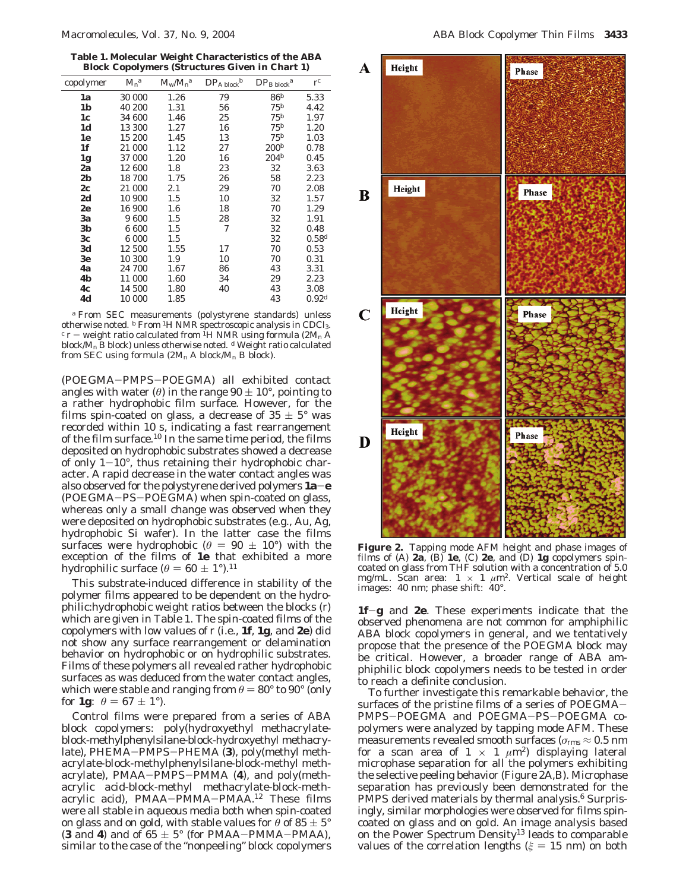**Table 1. Molecular Weight Characteristics of the ABA Block Copolymers (Structures Given in Chart 1)**

| copolymer      | $M_n^a$ | $M_{\rm w}/M_{\rm n}^{\rm a}$ | $DP_{A block}$ | $DP_{B \, block}$ <sup>a</sup> | $I^{\mathcal C}$  |
|----------------|---------|-------------------------------|----------------|--------------------------------|-------------------|
| 1a             | 30 000  | 1.26                          | 79             | $86^b$                         | 5.33              |
| 1b             | 40 200  | 1.31                          | 56             | $75^b$                         | 4.42              |
| 1c             | 34 600  | 1.46                          | 25             | $75^b$                         | 1.97              |
| 1d             | 13 300  | 1.27                          | 16             | $75^b$                         | 1.20              |
| 1e             | 15 200  | 1.45                          | 13             | $75^b$                         | 1.03              |
| 1f             | 21 000  | 1.12                          | 27             | 200 <sup>b</sup>               | 0.78              |
| 1g             | 37 000  | 1.20                          | 16             | $204^b$                        | 0.45              |
| 2a             | 12 600  | 1.8                           | 23             | 32                             | 3.63              |
| 2 <sub>b</sub> | 18 700  | 1.75                          | 26             | 58                             | 2.23              |
| 2c             | 21 000  | 2.1                           | 29             | 70                             | 2.08              |
| 2d             | 10 900  | 1.5                           | 10             | 32                             | 1.57              |
| 2e             | 16 900  | $1.6\,$                       | 18             | 70                             | 1.29              |
| 3a             | 9600    | 1.5                           | 28             | 32                             | 1.91              |
| 3b             | 6 600   | 1.5                           | 7              | 32                             | 0.48              |
| 3c             | 6 000   | 1.5                           |                | 32                             | 0.58d             |
| 3d             | 12 500  | 1.55                          | 17             | 70                             | 0.53              |
| 3e             | 10 300  | 1.9                           | 10             | 70                             | 0.31              |
| 4a             | 24 700  | 1.67                          | 86             | 43                             | 3.31              |
| 4b             | 11 000  | 1.60                          | 34             | 29                             | 2.23              |
| 4c             | 14 500  | 1.80                          | 40             | 43                             | 3.08              |
| 4d             | 10 000  | 1.85                          |                | 43                             | 0.92 <sup>d</sup> |
|                |         |                               |                |                                |                   |

*<sup>a</sup>* From SEC measurements (polystyrene standards) unless otherwise noted. *b* From <sup>1</sup>H NMR spectroscopic analysis in CDCl<sub>3</sub>. *c r* = weight ratio calculated from <sup>1</sup>H NMR using formula (2*M*<sub>n</sub> A block/*M*<sup>n</sup> B block) unless otherwise noted. *<sup>d</sup>* Weight ratio calculated from SEC using formula (2*M*<sup>n</sup> A block/*M*<sup>n</sup> B block).

(POEGMA-PMPS-POEGMA) all exhibited contact angles with water ( $\theta$ ) in the range  $90 \pm 10^{\circ}$ , pointing to a rather hydrophobic film surface. However, for the films spin-coated on glass, a decrease of 35  $\pm$  5° was recorded within 10 s, indicating a fast rearrangement of the film surface.10 In the same time period, the films deposited on hydrophobic substrates showed a decrease of only  $1-10^{\circ}$ , thus retaining their hydrophobic character. A rapid decrease in the water contact angles was also observed for the polystyrene derived polymers **1a**-**<sup>e</sup>** (POEGMA-PS-POEGMA) when spin-coated on glass, whereas only a small change was observed when they were deposited on hydrophobic substrates (e.g., Au, Ag, hydrophobic Si wafer). In the latter case the films surfaces were hydrophobic ( $\theta = 90 \pm 10^{\circ}$ ) with the exception of the films of **1e** that exhibited a more hydrophilic surface ( $\theta = 60 \pm 1^{\circ}$ ).<sup>11</sup>

This substrate-induced difference in stability of the polymer films appeared to be dependent on the hydrophilic:hydrophobic weight ratios between the blocks (*r*) which are given in Table 1. The spin-coated films of the copolymers with low values of *r* (i.e.*,* **1f**, **1g**, and **2e**) did not show any surface rearrangement or delamination behavior on hydrophobic or on hydrophilic substrates. Films of these polymers all revealed rather hydrophobic surfaces as was deduced from the water contact angles, which were stable and ranging from  $\theta = 80^{\circ}$  to 90° (only for **1g**:  $\theta = 67 \pm 1^{\circ}$ .

Control films were prepared from a series of ABA block copolymers: poly(hydroxyethyl methacrylate*block*-methylphenylsilane-*block*-hydroxyethyl methacrylate), PHEMA-PMPS-PHEMA (**3**), poly(methyl methacrylate-*block*-methylphenylsilane-*block*-methyl methacrylate), PMAA-PMPS-PMMA (**4**), and poly(methacrylic acid-*block*-methyl methacrylate-*block*-methacrylic acid), PMAA-PMMA-PMAA.12 These films were all stable in aqueous media both when spin-coated on glass and on gold, with stable values for  $\theta$  of 85  $\pm$  5° (3 and 4) and of  $65 \pm 5^{\circ}$  (for PMAA-PMMA-PMAA), similar to the case of the "nonpeeling" block copolymers



**Figure 2.** Tapping mode AFM height and phase images of films of (A) **2a**, (B) **1e**, (C) **2e**, and (D) **1g** copolymers spincoated on glass from THF solution with a concentration of 5.0 mg/mL. Scan area:  $1 \times 1 \mu m^2$ . Vertical scale of height images: 40 nm; phase shift: 40°.

**1f**-**<sup>g</sup>** and **2e**. These experiments indicate that the observed phenomena are not common for amphiphilic ABA block copolymers in general, and we tentatively propose that the presence of the POEGMA block may be critical. However, a broader range of ABA amphiphilic block copolymers needs to be tested in order to reach a definite conclusion.

To further investigate this remarkable behavior, the surfaces of the pristine films of a series of POEGMA-PMPS-POEGMA and POEGMA-PS-POEGMA copolymers were analyzed by tapping mode AFM. These measurements revealed smooth surfaces ( $\sigma_{\rm rms} \approx 0.5$  nm for a scan area of  $1 \times 1 \mu m^2$  displaying lateral microphase separation for all the polymers exhibiting the selective peeling behavior (Figure 2A,B). Microphase separation has previously been demonstrated for the PMPS derived materials by thermal analysis.<sup>6</sup> Surprisingly, similar morphologies were observed for films spincoated on glass and on gold. An image analysis based on the Power Spectrum Density<sup>13</sup> leads to comparable values of the correlation lengths ( $\xi = 15$  nm) on both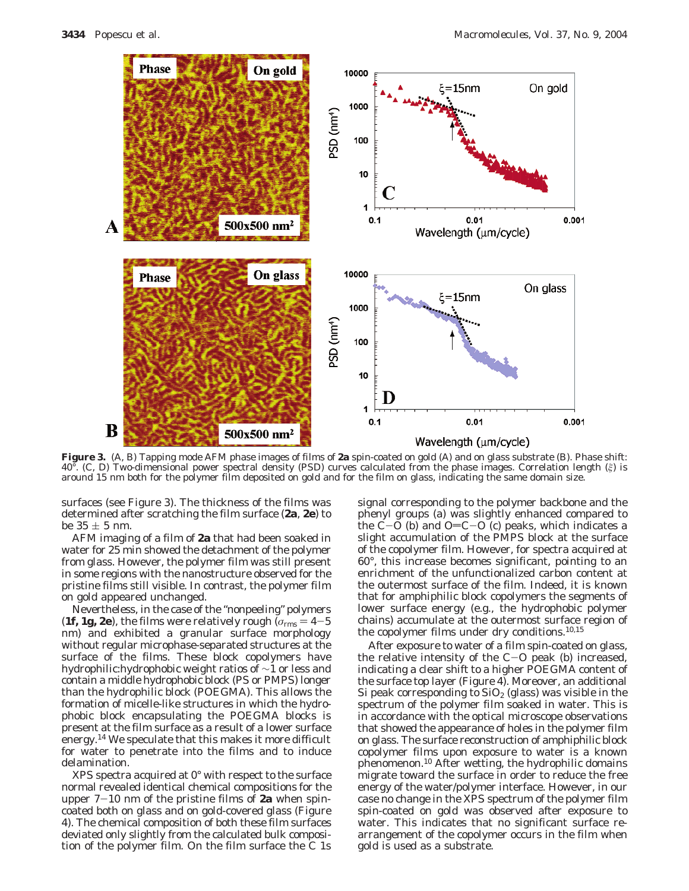

**Figure 3.** (A, B) Tapping mode AFM phase images of films of **2a** spin-coated on gold (A) and on glass substrate (B). Phase shift: 40°. (C, D) Two-dimensional power spectral density (PSD) curves calculated from the phase images. Correlation length (*ê*) is around 15 nm both for the polymer film deposited on gold and for the film on glass, indicating the same domain size.

surfaces (see Figure 3). The thickness of the films was determined after scratching the film surface (**2a**, **2e**) to be  $35 \pm 5$  nm.

AFM imaging of a film of **2a** that had been soaked in water for 25 min showed the detachment of the polymer from glass. However, the polymer film was still present in some regions with the nanostructure observed for the pristine films still visible. In contrast, the polymer film on gold appeared unchanged.

Nevertheless, in the case of the "nonpeeling" polymers (**1f, 1g, 2e**), the films were relatively rough ( $\sigma_{\rm rms} = 4-5$ nm) and exhibited a granular surface morphology without regular microphase-separated structures at the surface of the films. These block copolymers have hydrophilic:hydrophobic weight ratios of ∼1 or less and contain a middle hydrophobic block (PS or PMPS) longer than the hydrophilic block (POEGMA). This allows the formation of micelle-like structures in which the hydrophobic block encapsulating the POEGMA blocks is present at the film surface as a result of a lower surface energy.14 We speculate that this makes it more difficult for water to penetrate into the films and to induce delamination.

XPS spectra acquired at 0° with respect to the surface normal revealed identical chemical compositions for the upper  $7-10$  nm of the pristine films of **2a** when spincoated both on glass and on gold-covered glass (Figure 4). The chemical composition of both these film surfaces deviated only slightly from the calculated bulk composition of the polymer film. On the film surface the C 1s

signal corresponding to the polymer backbone and the phenyl groups (a) was slightly enhanced compared to the  $\check{C}-\check{O}$  (b) and  $O=C-O$  (c) peaks, which indicates a slight accumulation of the PMPS block at the surface of the copolymer film. However, for spectra acquired at 60°, this increase becomes significant, pointing to an enrichment of the unfunctionalized carbon content at the outermost surface of the film. Indeed, it is known that for amphiphilic block copolymers the segments of lower surface energy (e.g., the hydrophobic polymer chains) accumulate at the outermost surface region of the copolymer films under dry conditions.10,15

After exposure to water of a film spin-coated on glass, the relative intensity of the  $C-O$  peak (b) increased, indicating a clear shift to a higher POEGMA content of the surface top layer (Figure 4). Moreover, an additional Si peak corresponding to  $SiO<sub>2</sub>$  (glass) was visible in the spectrum of the polymer film soaked in water. This is in accordance with the optical microscope observations that showed the appearance of holes in the polymer film on glass. The surface reconstruction of amphiphilic block copolymer films upon exposure to water is a known phenomenon.10 After wetting, the hydrophilic domains migrate toward the surface in order to reduce the free energy of the water/polymer interface. However, in our case no change in the XPS spectrum of the polymer film spin-coated on gold was observed after exposure to water. This indicates that no significant surface rearrangement of the copolymer occurs in the film when gold is used as a substrate.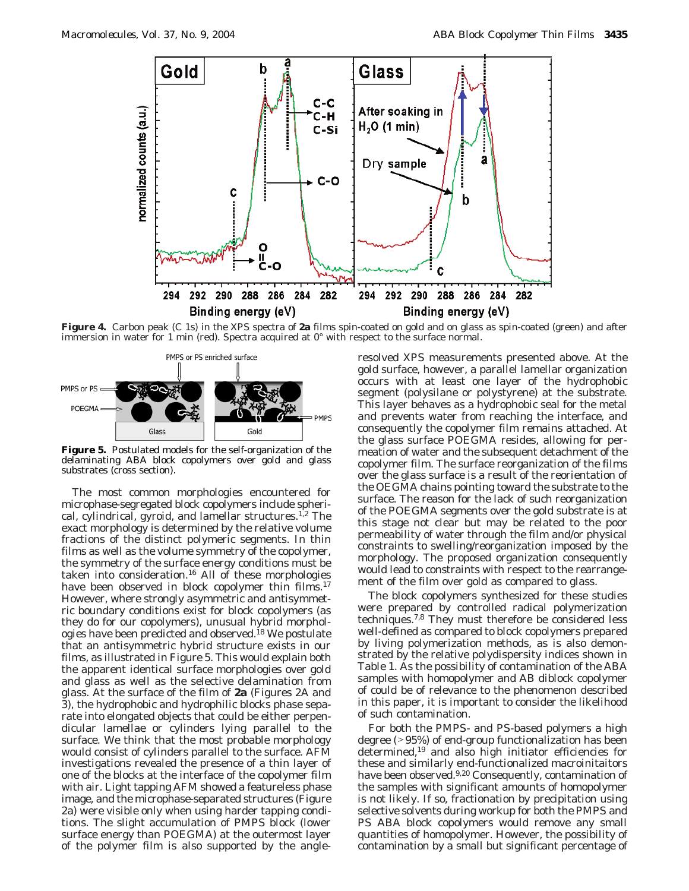

**Figure 4.** Carbon peak (C 1s) in the XPS spectra of **2a** films spin-coated on gold and on glass as spin-coated (green) and after immersion in water for 1 min (red). Spectra acquired at 0° with respect to the surface normal.



**Figure 5.** Postulated models for the self-organization of the delaminating ABA block copolymers over gold and glass substrates (cross section).

The most common morphologies encountered for microphase-segregated block copolymers include spherical, cylindrical, gyroid, and lamellar structures.1,2 The exact morphology is determined by the relative volume fractions of the distinct polymeric segments. In thin films as well as the volume symmetry of the copolymer, the symmetry of the surface energy conditions must be taken into consideration.<sup>16</sup> All of these morphologies have been observed in block copolymer thin films.<sup>17</sup> However, where strongly asymmetric and antisymmetric boundary conditions exist for block copolymers (as they do for our copolymers), unusual hybrid morphologies have been predicted and observed.<sup>18</sup> We postulate that an antisymmetric hybrid structure exists in our films, as illustrated in Figure 5. This would explain both the apparent identical surface morphologies over gold and glass as well as the selective delamination from glass. At the surface of the film of **2a** (Figures 2A and 3), the hydrophobic and hydrophilic blocks phase separate into elongated objects that could be either perpendicular lamellae or cylinders lying parallel to the surface. We think that the most probable morphology would consist of cylinders parallel to the surface. AFM investigations revealed the presence of a thin layer of one of the blocks at the interface of the copolymer film with air. Light tapping AFM showed a featureless phase image, and the microphase-separated structures (Figure 2a) were visible only when using harder tapping conditions. The slight accumulation of PMPS block (lower surface energy than POEGMA) at the outermost layer of the polymer film is also supported by the angleresolved XPS measurements presented above. At the gold surface, however, a parallel lamellar organization occurs with at least one layer of the hydrophobic segment (polysilane or polystyrene) at the substrate. This layer behaves as a hydrophobic seal for the metal and prevents water from reaching the interface, and consequently the copolymer film remains attached. At the glass surface POEGMA resides, allowing for permeation of water and the subsequent detachment of the copolymer film. The surface reorganization of the films over the glass surface is a result of the reorientation of the OEGMA chains pointing toward the substrate to the surface. The reason for the lack of such reorganization of the POEGMA segments over the gold substrate is at this stage not clear but may be related to the poor permeability of water through the film and/or physical constraints to swelling/reorganization imposed by the morphology. The proposed organization consequently would lead to constraints with respect to the rearrangement of the film over gold as compared to glass.

The block copolymers synthesized for these studies were prepared by controlled radical polymerization techniques.7,8 They must therefore be considered less well-defined as compared to block copolymers prepared by living polymerization methods, as is also demonstrated by the relative polydispersity indices shown in Table 1. As the possibility of contamination of the ABA samples with homopolymer and AB diblock copolymer of could be of relevance to the phenomenon described in this paper, it is important to consider the likelihood of such contamination.

For both the PMPS- and PS-based polymers a high degree (>95%) of end-group functionalization has been determined,19 and also high initiator efficiencies for these and similarly end-functionalized macroinitaitors have been observed.<sup>9,20</sup> Consequently, contamination of the samples with significant amounts of homopolymer is not likely. If so, fractionation by precipitation using selective solvents during workup for both the PMPS and PS ABA block copolymers would remove any small quantities of homopolymer. However, the possibility of contamination by a small but significant percentage of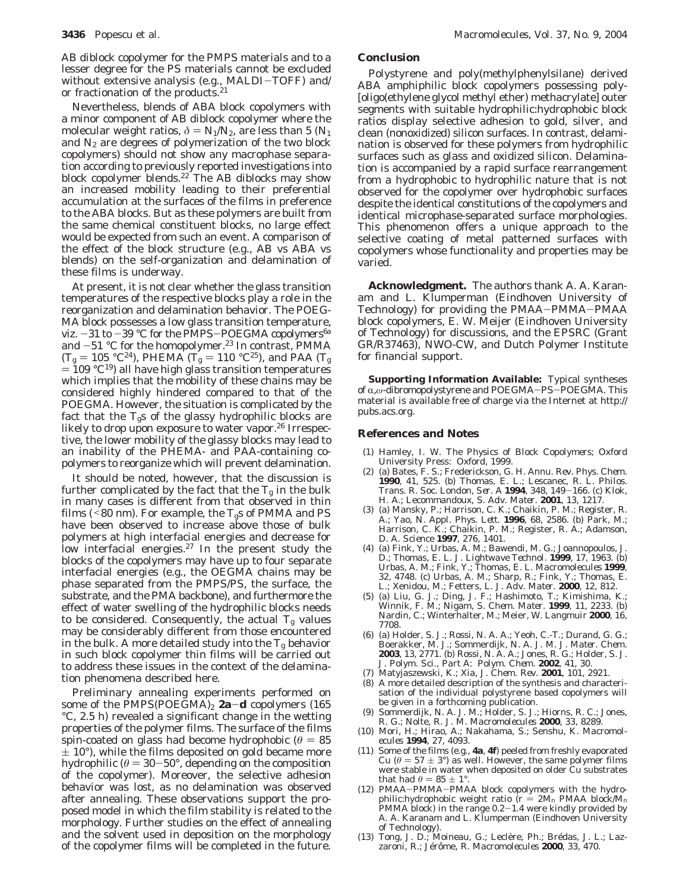AB diblock copolymer for the PMPS materials and to a lesser degree for the PS materials cannot be excluded without extensive analysis (e.g., MALDI-TOFF) and/ or fractionation of the products.21

Nevertheless, blends of ABA block copolymers with a minor component of AB diblock copolymer where the molecular weight ratios,  $\delta = N_1/N_2$ , are less than 5 ( $N_1$ ) and *N*<sup>2</sup> are degrees of polymerization of the two block copolymers) should not show any macrophase separation according to previously reported investigations into block copolymer blends.<sup>22</sup> The AB diblocks may show an increased mobility leading to their preferential accumulation at the surfaces of the films in preference to the ABA blocks. But as these polymers are built from the same chemical constituent blocks, no large effect would be expected from such an event. A comparison of the effect of the block structure (e.g., AB vs ABA vs blends) on the self-organization and delamination of these films is underway.

At present, it is not clear whether the glass transition temperatures of the respective blocks play a role in the reorganization and delamination behavior. The POEG-MA block possesses a low glass transition temperature, viz.  $-31$  to  $-39$  °C for the PMPS-POEGMA copolymers<sup>6a</sup> and  $-51$  °C for the homopolymer.<sup>23</sup> In contrast, PMMA  $(T_g = 105 \text{ °C}^{24})$ , PHEMA  $(T_g = 110 \text{ °C}^{25})$ , and PAA  $(T_g = 109 \text{ °C}^{19})$  all have high glass transition temperatures  $=$  109 °C<sup>19</sup>) all have high glass transition temperatures<br>which implies that the mobility of these chains may be which implies that the mobility of these chains may be considered highly hindered compared to that of the POEGMA. However, the situation is complicated by the fact that the  $T_{\rm g}$ s of the glassy hydrophilic blocks are likely to drop upon exposure to water vapor.<sup>26</sup> Irrespective, the lower mobility of the glassy blocks may lead to an inability of the PHEMA- and PAA-containing copolymers to reorganize which will prevent delamination.

It should be noted, however, that the discussion is further complicated by the fact that the  $T_g$  in the bulk in many cases is different from that observed in thin films ( $\leq$ 80 nm). For example, the  $T_{\rm g}$ s of PMMA and PS have been observed to increase above those of bulk polymers at high interfacial energies and decrease for low interfacial energies.<sup>27</sup> In the present study the blocks of the copolymers may have up to four separate interfacial energies (e.g., the OEGMA chains may be phase separated from the PMPS/PS, the surface, the substrate, and the PMA backbone), and furthermore the effect of water swelling of the hydrophilic blocks needs to be considered. Consequently, the actual  $T_{\rm g}$  values may be considerably different from those encountered in the bulk. A more detailed study into the  $T_{\rm g}$  behavior in such block copolymer thin films will be carried out to address these issues in the context of the delamination phenomena described here.

Preliminary annealing experiments performed on some of the PMPS(POEGMA)<sub>2</sub> 2a-d copolymers (165 °C, 2.5 h) revealed a significant change in the wetting properties of the polymer films. The surface of the films spin-coated on glass had become hydrophobic ( $\theta = 85$ )  $\pm$  10°), while the films deposited on gold became more hydrophilic ( $\theta$  = 30-50°, depending on the composition of the copolymer). Moreover, the selective adhesion behavior was lost, as no delamination was observed after annealing. These observations support the proposed model in which the film stability is related to the morphology. Further studies on the effect of annealing and the solvent used in deposition on the morphology of the copolymer films will be completed in the future.

# **Conclusion**

Polystyrene and poly(methylphenylsilane) derived ABA amphiphilic block copolymers possessing poly- [oligo(ethylene glycol methyl ether) methacrylate] outer segments with suitable hydrophilic:hydrophobic block ratios display selective adhesion to gold, silver, and clean (nonoxidized) silicon surfaces. In contrast, delamination is observed for these polymers from hydrophilic surfaces such as glass and oxidized silicon. Delamination is accompanied by a rapid surface rearrangement from a hydrophobic to hydrophilic nature that is not observed for the copolymer over hydrophobic surfaces despite the identical constitutions of the copolymers and identical microphase-separated surface morphologies. This phenomenon offers a unique approach to the selective coating of metal patterned surfaces with copolymers whose functionality and properties may be varied.

**Acknowledgment.** The authors thank A. A. Karanam and L. Klumperman (Eindhoven University of Technology) for providing the PMAA-PMMA-PMAA block copolymers, E. W. Meijer (Eindhoven University of Technology) for discussions, and the EPSRC (Grant GR/R37463), NWO-CW, and Dutch Polymer Institute for financial support.

**Supporting Information Available:** Typical syntheses of R,*ω*-dibromopolystyrene and POEGMA-PS-POEGMA. This material is available free of charge via the Internet at http:// pubs.acs.org.

### **References and Notes**

- (1) Hamley, I. W. *The Physics of Block Copolymers*; Oxford University Press: Oxford, 1999.
- (2) (a) Bates, F. S.; Frederickson, G. H. *Annu. Rev. Phys. Chem.* **1990**, *41*, 525. (b) Thomas, E. L.; Lescanec, R. L. *Philos. Trans. R. Soc. London, Ser. A* **<sup>1994</sup>**, *<sup>348</sup>*, 149-166. (c) Klok, H. A.; Lecommandoux, S. *Adv. Mater.* **2001**, *13*, 1217.
- (3) (a) Mansky, P.; Harrison, C. K.; Chaikin, P. M.; Register, R. A.; Yao, N. *Appl. Phys. Lett.* **1996**, *68*, 2586. (b) Park, M.; Harrison, C. K.; Chaikin, P. M.; Register, R. A.; Adamson, D. A. *Science* **1997**, *276*, 1401.
- (4) (a) Fink, Y.; Urbas, A. M.; Bawendi, M. G.; Joannopoulos, J. D.; Thomas, E. L. *J. Lightwave Technol.* **1999**, *17*, 1963. (b) Urbas, A. M.; Fink, Y.; Thomas, E. L. *Macromolecules* **1999**, *32*, 4748. (c) Urbas, A. M.; Sharp, R.; Fink, Y.; Thomas, E. L.; Xenidou, M.; Fetters, L. J. *Adv. Mater.* **2000**, *12*, 812.
- (5) (a) Liu, G. J.; Ding, J. F.; Hashimoto, T.; Kimishima, K.; Winnik, F. M.; Nigam, S. *Chem. Mater.* **1999**, *11*, 2233. (b) Nardin, C.; Winterhalter, M.; Meier, W. *Langmuir* **2000**, *16*, 7708.
- (6) (a) Holder, S. J.; Rossi, N. A. A.; Yeoh, C.-T.; Durand, G. G.; Boerakker, M. J.; Sommerdijk, N. A. J. M. *J. Mater. Chem.* **2003**, *13*, 2771. (b) Rossi, N. A. A.; Jones, R. G.; Holder, S. J. *J. Polym. Sci., Part A: Polym. Chem.* **2002**, *41*, 30.
- (7) Matyjaszewski, K.; Xia, J. *Chem. Rev.* **2001**, *101*, 2921.
- (8) A more detailed description of the synthesis and characterisation of the individual polystyrene based copolymers will be given in a forthcoming publication.
- (9) Sommerdijk, N. A. J. M.; Holder, S. J.; Hiorns, R. C.; Jones, R. G.; Nolte, R. J. M. *Macromolecules* **2000**, *33*, 8289.
- (10) Mori, H.; Hirao, A.; Nakahama, S.; Senshu, K. *Macromolecules* **1994**, *27*, 4093.
- (11) Some of the films (e.g., **4a**, **4f**) peeled from freshly evaporated Cu (θ = 57 ± 3°) as well. However, the same polymer films<br>were stable in water when deposited on older Cu substrates that had  $\theta = 85 \pm 1$ <sup>°</sup>
- (12) PMAA-PMMA-PMAA block copolymers with the hydrophilic:hydrophobic weight ratio  $(r = 2M_n)$  PMAA block/ $M_n$ PMMA block) in the range  $0.2-1.4$  were kindly provided by A. A. Karanam and L. Klumperman (Eindhoven University of Technology).
- (13) Tong, J. D.; Moineau, G.; Leclère, Ph.; Brédas, J. L.; Lazzaroni, R.; Je´roˆme, R. *Macromolecules* **2000**, *33*, 470.